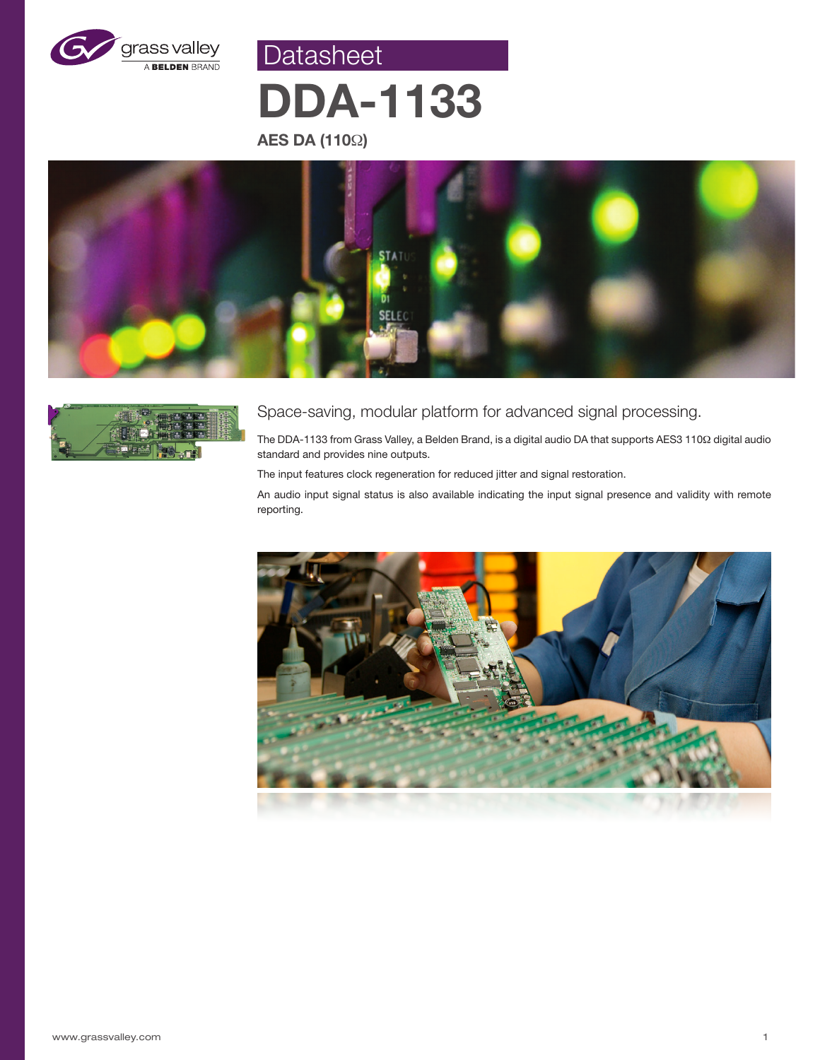

Datasheet

# **DDA-1133**

**AES DA (110**Ω**)**





## Space-saving, modular platform for advanced signal processing.

The DDA-1133 from Grass Valley, a Belden Brand, is a digital audio DA that supports AES3 110Ω digital audio standard and provides nine outputs.

The input features clock regeneration for reduced jitter and signal restoration.

An audio input signal status is also available indicating the input signal presence and validity with remote reporting.